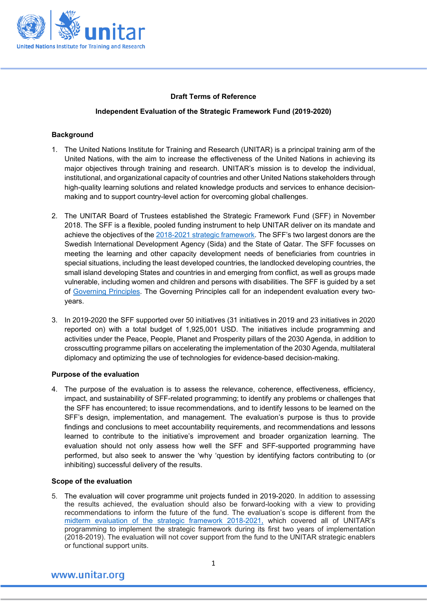

#### **Draft Terms of Reference**

#### **Independent Evaluation of the Strategic Framework Fund (2019-2020)**

#### **Background**

- 1. The United Nations Institute for Training and Research (UNITAR) is a principal training arm of the United Nations, with the aim to increase the effectiveness of the United Nations in achieving its major objectives through training and research. UNITAR's mission is to develop the individual, institutional, and organizational capacity of countries and other United Nations stakeholders through high-quality learning solutions and related knowledge products and services to enhance decisionmaking and to support country-level action for overcoming global challenges.
- 2. The UNITAR Board of Trustees established the Strategic Framework Fund (SFF) in November 2018. The SFF is a flexible, pooled funding instrument to help UNITAR deliver on its mandate and achieve the objectives of th[e 2018-2021 strategic framework.](https://unitar.org/sites/default/files/media/publication/doc/unitar_strategicframework_web-new.pdf) The SFF's two largest donors are the Swedish International Development Agency (Sida) and the State of Qatar. The SFF focusses on meeting the learning and other capacity development needs of beneficiaries from countries in special situations, including the least developed countries, the landlocked developing countries, the small island developing States and countries in and emerging from conflict, as well as groups made vulnerable, including women and children and persons with disabilities. The SFF is guided by a set of [Governing Principles.](https://unitar.org/sites/default/files/media/file/Strategic%20Framework%20Fund_Governing%20Principles.pdf) The Governing Principles call for an independent evaluation every twoyears.
- 3. In 2019-2020 the SFF supported over 50 initiatives (31 initiatives in 2019 and 23 initiatives in 2020 reported on) with a total budget of 1,925,001 USD. The initiatives include programming and activities under the Peace, People, Planet and Prosperity pillars of the 2030 Agenda, in addition to crosscutting programme pillars on accelerating the implementation of the 2030 Agenda, multilateral diplomacy and optimizing the use of technologies for evidence-based decision-making.

#### **Purpose of the evaluation**

4. The purpose of the evaluation is to assess the relevance, coherence, effectiveness, efficiency, impact, and sustainability of SFF-related programming; to identify any problems or challenges that the SFF has encountered; to issue recommendations, and to identify lessons to be learned on the SFF's design, implementation, and management. The evaluation's purpose is thus to provide findings and conclusions to meet accountability requirements, and recommendations and lessons learned to contribute to the initiative's improvement and broader organization learning. The evaluation should not only assess how well the SFF and SFF-supported programming have performed, but also seek to answer the 'why 'question by identifying factors contributing to (or inhibiting) successful delivery of the results.

#### **Scope of the evaluation**

5. The evaluation will cover programme unit projects funded in 2019-2020. In addition to assessing the results achieved, the evaluation should also be forward-looking with a view to providing recommendations to inform the future of the fund. The evaluation's scope is different from the midterm evaluation of the strategic framework [2018-2021,](https://unitar.org/results-evidence-learning/evaluation/mid-term-evaluation-implementation-strategic-framework-2018-2021) which covered all of UNITAR's programming to implement the strategic framework during its first two years of implementation (2018-2019). The evaluation will not cover support from the fund to the UNITAR strategic enablers or functional support units.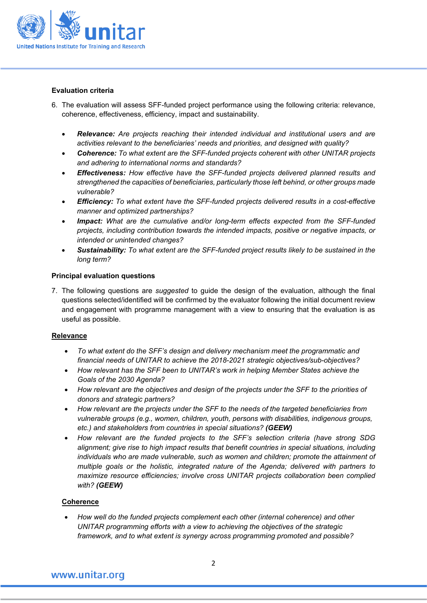

#### **Evaluation criteria**

- 6. The evaluation will assess SFF-funded project performance using the following criteria: relevance, coherence, effectiveness, efficiency, impact and sustainability.
	- *Relevance: Are projects reaching their intended individual and institutional users and are activities relevant to the beneficiaries' needs and priorities, and designed with quality?*
	- *Coherence: To what extent are the SFF-funded projects coherent with other UNITAR projects and adhering to international norms and standards?*
	- *Effectiveness: How effective have the SFF-funded projects delivered planned results and strengthened the capacities of beneficiaries, particularly those left behind, or other groups made vulnerable?*
	- *Efficiency: To what extent have the SFF-funded projects delivered results in a cost-effective manner and optimized partnerships?*
	- *Impact: What are the cumulative and/or long-term effects expected from the SFF-funded projects, including contribution towards the intended impacts, positive or negative impacts, or intended or unintended changes?*
	- *Sustainability: To what extent are the SFF-funded project results likely to be sustained in the long term?*

#### **Principal evaluation questions**

7. The following questions are *suggested* to guide the design of the evaluation, although the final questions selected/identified will be confirmed by the evaluator following the initial document review and engagement with programme management with a view to ensuring that the evaluation is as useful as possible.

#### **Relevance**

- *To what extent do the SFF's design and delivery mechanism meet the programmatic and financial needs of UNITAR to achieve the 2018-2021 strategic objectives/sub-objectives?*
- *How relevant has the SFF been to UNITAR's work in helping Member States achieve the Goals of the 2030 Agenda?*
- *How relevant are the objectives and design of the projects under the SFF to the priorities of donors and strategic partners?*
- *How relevant are the projects under the SFF to the needs of the targeted beneficiaries from vulnerable groups (e.g., women, children, youth, persons with disabilities, indigenous groups, etc.) and stakeholders from countries in special situations? (GEEW)*
- *How relevant are the funded projects to the SFF's selection criteria (have strong SDG alignment; give rise to high impact results that benefit countries in special situations, including*  individuals who are made vulnerable, such as women and children; promote the attainment of *multiple goals or the holistic, integrated nature of the Agenda; delivered with partners to maximize resource efficiencies; involve cross UNITAR projects collaboration been complied with? (GEEW)*

#### **Coherence**

• *How well do the funded projects complement each other (internal coherence) and other UNITAR programming efforts with a view to achieving the objectives of the strategic framework, and to what extent is synergy across programming promoted and possible?*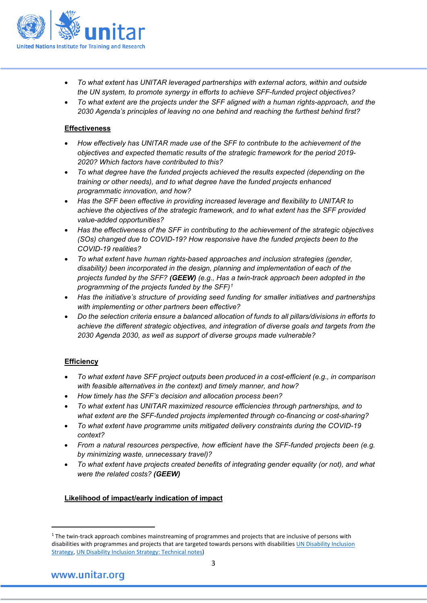

- *To what extent has UNITAR leveraged partnerships with external actors, within and outside the UN system, to promote synergy in efforts to achieve SFF-funded project objectives?*
- *To what extent are the projects under the SFF aligned with a human rights-approach, and the 2030 Agenda's principles of leaving no one behind and reaching the furthest behind first?*

#### **Effectiveness**

- *How effectively has UNITAR made use of the SFF to contribute to the achievement of the objectives and expected thematic results of the strategic framework for the period 2019- 2020? Which factors have contributed to this?*
- *To what degree have the funded projects achieved the results expected (depending on the training or other needs), and to what degree have the funded projects enhanced programmatic innovation, and how?*
- *Has the SFF been effective in providing increased leverage and flexibility to UNITAR to achieve the objectives of the strategic framework, and to what extent has the SFF provided value-added opportunities?*
- *Has the effectiveness of the SFF in contributing to the achievement of the strategic objectives (SOs) changed due to COVID-19? How responsive have the funded projects been to the COVID-19 realities?*
- *To what extent have human rights-based approaches and inclusion strategies (gender, disability) been incorporated in the design, planning and implementation of each of the projects funded by the SFF? (GEEW) (e.g., Has a twin-track approach been adopted in the programming of the projects funded by the SFF)[1](#page-2-0)*
- *Has the initiative's structure of providing seed funding for smaller initiatives and partnerships with implementing or other partners been effective?*
- *Do the selection criteria ensure a balanced allocation of funds to all pillars/divisions in efforts to achieve the different strategic objectives, and integration of diverse goals and targets from the 2030 Agenda 2030, as well as support of diverse groups made vulnerable?*

#### **Efficiency**

- *To what extent have SFF project outputs been produced in a cost-efficient (e.g., in comparison with feasible alternatives in the context) and timely manner, and how?*
- *How timely has the SFF's decision and allocation process been?*
- *To what extent has UNITAR maximized resource efficiencies through partnerships, and to what extent are the SFF-funded projects implemented through co-financing or cost-sharing?*
- *To what extent have programme units mitigated delivery constraints during the COVID-19 context?*
- *From a natural resources perspective, how efficient have the SFF-funded projects been (e.g. by minimizing waste, unnecessary travel)?*
- *To what extent have projects created benefits of integrating gender equality (or not), and what were the related costs? (GEEW)*

### **Likelihood of impact/early indication of impact**

<span id="page-2-0"></span><sup>&</sup>lt;sup>1</sup> The twin-track approach combines mainstreaming of programmes and projects that are inclusive of persons with disabilities with programmes and projects that are targeted towards persons with disabilitie[s UN Disability Inclusion](https://www.un.org/en/content/disabilitystrategy/assets/documentation/UN_Disability_Inclusion_Strategy_english.pdf)  [Strategy,](https://www.un.org/en/content/disabilitystrategy/assets/documentation/UN_Disability_Inclusion_Strategy_english.pdf) [UN Disability Inclusion Strategy: Technical notes\)](https://www.un.org/en/content/disabilitystrategy/assets/documentation/UN_Disability_Inclusion_Strategy_Entity_Technical_Notes.pdf)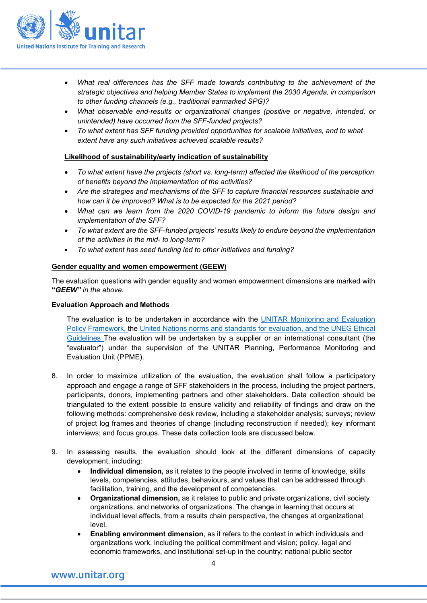

- *What real differences has the SFF made towards contributing to the achievement of the strategic objectives and helping Member States to implement the 2030 Agenda, in comparison to other funding channels (e.g., traditional earmarked SPG)?*
- *What observable end-results or organizational changes (positive or negative, intended, or unintended) have occurred from the SFF-funded projects?*
- *To what extent has SFF funding provided opportunities for scalable initiatives, and to what extent have any such initiatives achieved scalable results?*

#### **Likelihood of sustainability/early indication of sustainability**

- *To what extent have the projects (short vs. long-term) affected the likelihood of the perception of benefits beyond the implementation of the activities?*
- *Are the strategies and mechanisms of the SFF to capture financial resources sustainable and how can it be improved? What is to be expected for the 2021 period?*
- *What can we learn from the 2020 COVID-19 pandemic to inform the future design and implementation of the SFF?*
- *To what extent are the SFF-funded projects' results likely to endure beyond the implementation of the activities in the mid- to long-term?*
- *To what extent has seed funding led to other initiatives and funding?*

#### **Gender equality and women empowerment (GEEW)**

The evaluation questions with gender equality and women empowerment dimensions are marked with **"***GEEW" in the above.* 

#### **Evaluation Approach and Methods**

The evaluation is to be undertaken in accordance with the [UNITAR Monitoring and Evaluation](http://www.unitar.org/sites/default/files/uploads/pprs/monitoring-and-evaluation_revised_april_2017.pdf)  [Policy Framework,](http://www.unitar.org/sites/default/files/uploads/pprs/monitoring-and-evaluation_revised_april_2017.pdf) the [United Nations norms and standards for evaluation, and the UNEG Ethical](http://www.unevaluation.org/document/detail/1914)  [Guidelines](http://www.unevaluation.org/document/detail/1914) The evaluation will be undertaken by a supplier or an international consultant (the "evaluator") under the supervision of the UNITAR Planning, Performance Monitoring and Evaluation Unit (PPME).

- 8. In order to maximize utilization of the evaluation, the evaluation shall follow a participatory approach and engage a range of SFF stakeholders in the process, including the project partners, participants, donors, implementing partners and other stakeholders. Data collection should be triangulated to the extent possible to ensure validity and reliability of findings and draw on the following methods: comprehensive desk review, including a stakeholder analysis; surveys; review of project log frames and theories of change (including reconstruction if needed); key informant interviews; and focus groups. These data collection tools are discussed below.
- 9. In assessing results, the evaluation should look at the different dimensions of capacity development, including:
	- **Individual dimension,** as it relates to the people involved in terms of knowledge, skills levels, competencies, attitudes, behaviours, and values that can be addressed through facilitation, training, and the development of competencies.
	- **Organizational dimension,** as it relates to public and private organizations, civil society organizations, and networks of organizations. The change in learning that occurs at individual level affects, from a results chain perspective, the changes at organizational level.
	- **Enabling environment dimension**, as it refers to the context in which individuals and organizations work, including the political commitment and vision; policy, legal and economic frameworks, and institutional set-up in the country; national public sector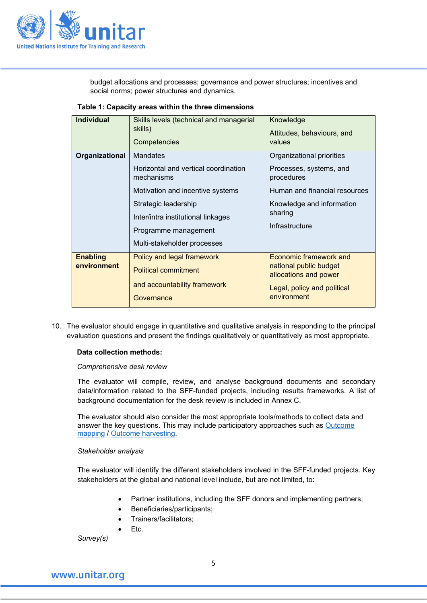

budget allocations and processes; governance and power structures; incentives and social norms; power structures and dynamics.

| <b>Individual</b>              | Skills levels (technical and managerial<br>skills)<br>Competencies                                                                                                                                                      | Knowledge<br>Attitudes, behaviours, and<br>values                                                                                                             |
|--------------------------------|-------------------------------------------------------------------------------------------------------------------------------------------------------------------------------------------------------------------------|---------------------------------------------------------------------------------------------------------------------------------------------------------------|
| Organizational                 | Mandates<br>Horizontal and vertical coordination<br>mechanisms<br>Motivation and incentive systems<br>Strategic leadership<br>Inter/intra institutional linkages<br>Programme management<br>Multi-stakeholder processes | Organizational priorities<br>Processes, systems, and<br>procedures<br>Human and financial resources<br>Knowledge and information<br>sharing<br>Infrastructure |
| <b>Enabling</b><br>environment | Policy and legal framework<br><b>Political commitment</b><br>and accountability framework<br>Governance                                                                                                                 | Economic framework and<br>national public budget<br>allocations and power<br>Legal, policy and political<br>environment                                       |

10. The evaluator should engage in quantitative and qualitative analysis in responding to the principal evaluation questions and present the findings qualitatively or quantitatively as most appropriate.

#### **Data collection methods:**

#### *Comprehensive desk review*

The evaluator will compile, review, and analyse background documents and secondary data/information related to the SFF-funded projects, including results frameworks. A list of background documentation for the desk review is included in Annex C.

The evaluator should also consider the most appropriate tools/methods to collect data and answer the key questions. This may include participatory approaches such as [Outcome](http://www.betterevaluation.org/resources/outcome_mapping/ilac)  [mapping](http://www.betterevaluation.org/resources/outcome_mapping/ilac) / [Outcome harvesting.](https://usaidlearninglab.org/sites/default/files/resource/files/Outome%20Harvesting%20Brief%20FINAL%202012-05-2-1.pdf)

#### *Stakeholder analysis*

The evaluator will identify the different stakeholders involved in the SFF-funded projects. Key stakeholders at the global and national level include, but are not limited, to:

- Partner institutions, including the SFF donors and implementing partners;
- Beneficiaries/participants;
- Trainers/facilitators;

• Etc.

*Survey(s)*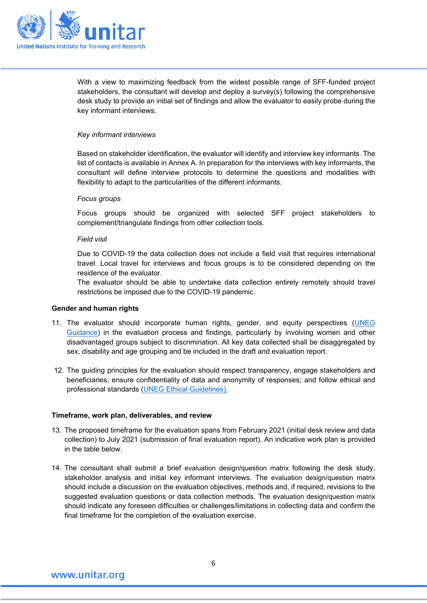

With a view to maximizing feedback from the widest possible range of SFF-funded project stakeholders, the consultant will develop and deploy a survey(s) following the comprehensive desk study to provide an initial set of findings and allow the evaluator to easily probe during the key informant interviews.

#### *Key informant interviews*

Based on stakeholder identification, the evaluator will identify and interview key informants. The list of contacts is available in Annex A. In preparation for the interviews with key informants, the consultant will define interview protocols to determine the questions and modalities with flexibility to adapt to the particularities of the different informants.

#### *Focus groups*

Focus groups should be organized with selected SFF project stakeholders to complement/triangulate findings from other collection tools.

#### *Field visit*

Due to COVID-19 the data collection does not include a field visit that requires international travel. Local travel for interviews and focus groups is to be considered depending on the residence of the evaluator.

The evaluator should be able to undertake data collection entirely remotely should travel restrictions be imposed due to the COVID-19 pandemic.

#### **Gender and human rights**

- 11. The evaluator should incorporate human rights, gender, and equity perspectives [\(UNEG](http://unevaluation.org/document/detail/1616)  [Guidance\)](http://unevaluation.org/document/detail/1616) in the evaluation process and findings, particularly by involving women and other disadvantaged groups subject to discrimination. All key data collected shall be disaggregated by sex, disability and age grouping and be included in the draft and evaluation report.
- 12. The guiding principles for the evaluation should respect transparency, engage stakeholders and beneficiaries; ensure confidentiality of data and anonymity of responses; and follow ethical and professional standards [\(UNEG Ethical Guidelines\)](http://unevaluation.org/document/detail/2866).

#### **Timeframe, work plan, deliverables, and review**

- 13. The proposed timeframe for the evaluation spans from February 2021 (initial desk review and data collection) to July 2021 (submission of final evaluation report). An indicative work plan is provided in the table below.
- 14. The consultant shall submit a brief evaluation design/question matrix following the desk study, stakeholder analysis and initial key informant interviews. The evaluation design/question matrix should include a discussion on the evaluation objectives, methods and, if required, revisions to the suggested evaluation questions or data collection methods. The evaluation design/question matrix should indicate any foreseen difficulties or challenges/limitations in collecting data and confirm the final timeframe for the completion of the evaluation exercise.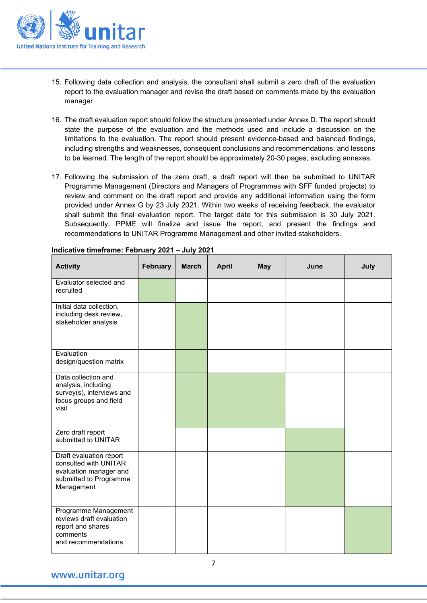

- 15. Following data collection and analysis, the consultant shall submit a zero draft of the evaluation report to the evaluation manager and revise the draft based on comments made by the evaluation manager.
- 16. The draft evaluation report should follow the structure presented under Annex D. The report should state the purpose of the evaluation and the methods used and include a discussion on the limitations to the evaluation. The report should present evidence-based and balanced findings, including strengths and weaknesses, consequent conclusions and recommendations, and lessons to be learned. The length of the report should be approximately 20-30 pages, excluding annexes.
- 17. Following the submission of the zero draft, a draft report will then be submitted to UNITAR Programme Management (Directors and Managers of Programmes with SFF funded projects) to review and comment on the draft report and provide any additional information using the form provided under Annex G by 23 July 2021. Within two weeks of receiving feedback, the evaluator shall submit the final evaluation report. The target date for this submission is 30 July 2021. Subsequently, PPME will finalize and issue the report, and present the findings and recommendations to UNITAR Programme Management and other invited stakeholders.

| <b>Activity</b>                                                                                                    | <b>February</b> | <b>March</b> | <b>April</b> | <b>May</b> | June | July |
|--------------------------------------------------------------------------------------------------------------------|-----------------|--------------|--------------|------------|------|------|
| Evaluator selected and<br>recruited                                                                                |                 |              |              |            |      |      |
| Initial data collection,<br>including desk review,<br>stakeholder analysis                                         |                 |              |              |            |      |      |
| Evaluation<br>design/question matrix                                                                               |                 |              |              |            |      |      |
| Data collection and<br>analysis, including<br>survey(s), interviews and<br>focus groups and field<br>visit         |                 |              |              |            |      |      |
| Zero draft report<br>submitted to UNITAR                                                                           |                 |              |              |            |      |      |
| Draft evaluation report<br>consulted with UNITAR<br>evaluation manager and<br>submitted to Programme<br>Management |                 |              |              |            |      |      |
| Programme Management<br>reviews draft evaluation<br>report and shares<br>comments<br>and recommendations           |                 |              |              |            |      |      |

**Indicative timeframe: February 2021 – July 2021**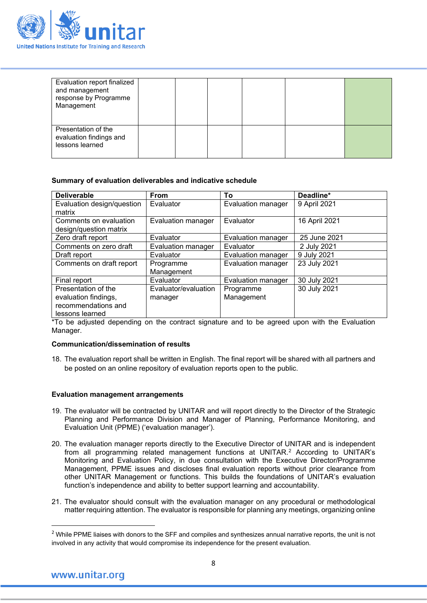

| Evaluation report finalized<br>and management<br>response by Programme<br>Management |  |  |  |
|--------------------------------------------------------------------------------------|--|--|--|
| Presentation of the<br>evaluation findings and<br>lessons learned                    |  |  |  |

#### **Summary of evaluation deliverables and indicative schedule**

| <b>Deliverable</b>                                                                    | <b>From</b>                     | To                        | Deadline*     |
|---------------------------------------------------------------------------------------|---------------------------------|---------------------------|---------------|
| Evaluation design/question<br>matrix                                                  | Evaluator                       | Evaluation manager        | 9 April 2021  |
| Comments on evaluation<br>design/question matrix                                      | <b>Evaluation manager</b>       | Evaluator                 | 16 April 2021 |
| Zero draft report                                                                     | Evaluator                       | Evaluation manager        | 25 June 2021  |
| Comments on zero draft                                                                | <b>Evaluation manager</b>       | Evaluator                 | 2 July 2021   |
| Draft report                                                                          | Evaluator                       | Evaluation manager        | 9 July 2021   |
| Comments on draft report                                                              | Programme<br>Management         | <b>Evaluation manager</b> | 23 July 2021  |
| Final report                                                                          | Evaluator                       | Evaluation manager        | 30 July 2021  |
| Presentation of the<br>evaluation findings,<br>recommendations and<br>lessons learned | Evaluator/evaluation<br>manager | Programme<br>Management   | 30 July 2021  |

\*To be adjusted depending on the contract signature and to be agreed upon with the Evaluation Manager.

#### **Communication/dissemination of results**

18. The evaluation report shall be written in English. The final report will be shared with all partners and be posted on an online repository of evaluation reports open to the public.

#### **Evaluation management arrangements**

- 19. The evaluator will be contracted by UNITAR and will report directly to the Director of the Strategic Planning and Performance Division and Manager of Planning, Performance Monitoring, and Evaluation Unit (PPME) ('evaluation manager').
- 20. The evaluation manager reports directly to the Executive Director of UNITAR and is independent from all programming related management functions at UNITAR.[2](#page-7-0) According to UNITAR's Monitoring and Evaluation Policy, in due consultation with the Executive Director/Programme Management, PPME issues and discloses final evaluation reports without prior clearance from other UNITAR Management or functions. This builds the foundations of UNITAR's evaluation function's independence and ability to better support learning and accountability.
- 21. The evaluator should consult with the evaluation manager on any procedural or methodological matter requiring attention. The evaluator is responsible for planning any meetings, organizing online

<span id="page-7-0"></span><sup>&</sup>lt;sup>2</sup> While PPME liaises with donors to the SFF and compiles and synthesizes annual narrative reports, the unit is not involved in any activity that would compromise its independence for the present evaluation.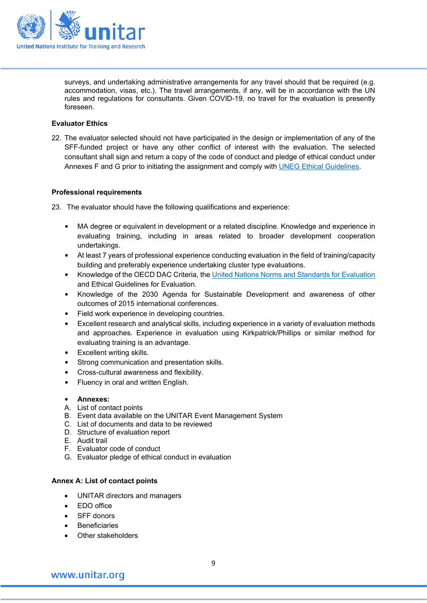

surveys, and undertaking administrative arrangements for any travel should that be required (e.g. accommodation, visas, etc.). The travel arrangements, if any, will be in accordance with the UN rules and regulations for consultants. Given COVID-19, no travel for the evaluation is presently foreseen.

#### **Evaluator Ethics**

22. The evaluator selected should not have participated in the design or implementation of any of the SFF-funded project or have any other conflict of interest with the evaluation. The selected consultant shall sign and return a copy of the code of conduct and pledge of ethical conduct under Annexes F and G prior to initiating the assignment and comply with [UNEG Ethical Guidelines.](http://unevaluation.org/document/detail/2866)

#### **Professional requirements**

23. The evaluator should have the following qualifications and experience:

- MA degree or equivalent in development or a related discipline. Knowledge and experience in evaluating training, including in areas related to broader development cooperation undertakings.
- At least 7 years of professional experience conducting evaluation in the field of training/capacity building and preferably experience undertaking cluster type evaluations.
- Knowledge of the OECD DAC Criteria, the United Nations Norms [and Standards for Evaluation](http://unevaluation.org/document/detail/1914) and Ethical Guidelines for Evaluation.
- Knowledge of the 2030 Agenda for Sustainable Development and awareness of other outcomes of 2015 international conferences.
- Field work experience in developing countries.
- Excellent research and analytical skills, including experience in a variety of evaluation methods and approaches. Experience in evaluation using Kirkpatrick/Phillips or similar method for evaluating training is an advantage.
- Excellent writing skills.
- Strong communication and presentation skills.
- Cross-cultural awareness and flexibility.
- Fluency in oral and written English.
- **Annexes:**
- A. List of contact points
- B. Event data available on the UNITAR Event Management System
- C. List of documents and data to be reviewed
- D. Structure of evaluation report
- E. Audit trail
- F. Evaluator code of conduct
- G. Evaluator pledge of ethical conduct in evaluation

#### **Annex A: List of contact points**

- UNITAR directors and managers
- EDO office
- SFF donors
- **Beneficiaries**
- Other stakeholders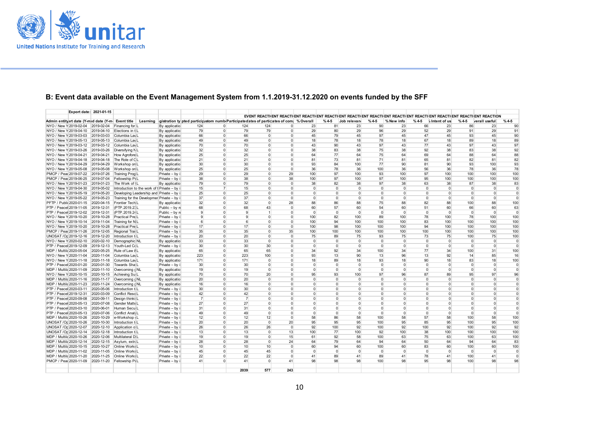

## **B: Event data available on the Event Management System from 1.1.2019-31.12.2020 on events funded by the SFF**

|                                                                                                                                                             | Export date: 2021-01-15 |                           |                                               |                 |                |                |                 |                |                |          |                |                |                  |        |                                                                                                                                |                |                |          |
|-------------------------------------------------------------------------------------------------------------------------------------------------------------|-------------------------|---------------------------|-----------------------------------------------|-----------------|----------------|----------------|-----------------|----------------|----------------|----------|----------------|----------------|------------------|--------|--------------------------------------------------------------------------------------------------------------------------------|----------------|----------------|----------|
|                                                                                                                                                             |                         |                           |                                               |                 |                |                |                 |                |                |          |                |                |                  |        | EVENT REACTIVENT REACTIVENT REACTIVENT REACTIVENT REACTIVENT REACTIVENT REACTIVENT REACTIVENT REACTIVENT REACTIVENT REACTIVENT |                |                |          |
| Admin entityart date (Y-mid date (Y-mic Event title   Learning   gistration tylpted participustom numb Participated ates of particizates of com   % Overall |                         |                           |                                               |                 |                |                |                 |                |                | $%4-5$   | Job relevan    | $%4-5$         | % New info       | $%4-5$ | <b>6</b> Intent of us                                                                                                          | $%4-5$         | verall usefuli | $%4-5$   |
| NYO / New Y 2019-02-04 2019-02-04 Financing for L                                                                                                           |                         |                           | By application                                | 124             | $\Omega$       | 124            | 124             |                | 23             | 81       | 23             | 90             | 23               | 66     | 23                                                                                                                             | 86             | 23             | 90       |
| NYO / New Y 2019-04-10 2019-04-10 Elections in t L                                                                                                          |                         |                           | By application                                | 79              | $\Omega$       | 79             | 79              | $\Omega$       | 29             | 80       | 29             | 96             | 29               | 52     | 29                                                                                                                             | 91             | 29             | 91       |
| NYO / New Y 2019-03-03 2019-03-03                                                                                                                           |                         | Columbia Lav L            | By application                                | 66              | $\overline{0}$ | 66             | $\Omega$        | $\Omega$       | 45             | 79       | 45             | 97             | 45               | 47     | 45                                                                                                                             | 93             | 45             | 90       |
| NYO / New Y 2019-05-13 2019-05-13                                                                                                                           |                         | Columbia Lav <sub>L</sub> | By application                                | 49              | $\Omega$       | 49             | $\Omega$        | $\Omega$       | 18             | 78       | 18             | 78             | 18               | 67     | 18                                                                                                                             | 89             | 18             | 89       |
| NYO / New Y 2019-03-12 2019-03-12 Columbia Lay L                                                                                                            |                         |                           | By application                                | 70              | $\Omega$       | 70             | $\Omega$        | $\Omega$       | 43             | 90       | 43             | 97             | 43               | 77     | 43                                                                                                                             | 97             | 43             | 97       |
| NYO / New Y 2019-03-26 2019-03-26                                                                                                                           |                         | Diversifying NL           | By application                                | 32              | $\Omega$       | 32             | $\Omega$        | $\Omega$       | 38             | 83       | 38             | 75             | 38               | 92     | 38                                                                                                                             | 83             | 38             | 92       |
| NYO / New Y 2019-04-21 2019-04-21                                                                                                                           |                         | How Agrofore L            | By application                                | 25              | $\Omega$       | 25             | $\Omega$        | $\Omega$       | 64             | 77       | 64             | 75             | 64               | 69     | 64                                                                                                                             | 88             | 64             | 88       |
| NYO / New Y 2019-04-18 2019-04-18 The Role of CL                                                                                                            |                         |                           | By application                                | 21              | $\Omega$       | 21             | $\Omega$        | $\Omega$       | 81             | 73       | 81             | 71             | 81               | 65     | 81                                                                                                                             | 82             | 81             | 82       |
| NYO / New Y 2019-04-29 2019-04-29                                                                                                                           |                         | Workshop on L             | By application                                | 30              | $\Omega$       | 30             | $\Omega$        | $\Omega$       | 93             | 84       | 100            | 77             | 90               | 81     | 90                                                                                                                             | 93             | 100            | 93       |
| NYO / New Y 2019-05-08 2019-05-08                                                                                                                           |                         | Workshop on L             | By application                                | 25              | $\Omega$       | 25             | $\Omega$        | $\overline{0}$ | 36             | 78       | 36             | 100            | 36               | 56     | 36                                                                                                                             | 78             | 36             | 78       |
| PMCP / Peac 2019-07-22 2019-07-26                                                                                                                           |                         | Training Prog L           | Private - by ii                               | 29              | $\Omega$       | 29             | $\Omega$        | 29             | 100            | 97       | 100            | 93             | 100              | 97     | 100                                                                                                                            | 100            | 100            | 100      |
| PMCP / Peac 2019-06-25 2019-07-04                                                                                                                           |                         | Fellowship Pi L           | Private - by in                               | 38              | $\Omega$       | 38             | O               | 38             | 100            | 97       | 100            | 97             | 100              | 95     | 100                                                                                                                            | 100            | 100            | 100      |
| NYO / New Y 2019-01-23 2019-01-23                                                                                                                           |                         | The Work of IL            | By application                                | 79              | $\Omega$       | 79             | $\Omega$        | $\Omega$       | 38             | 82       | 38             | 97             | 38               | 63     | 38                                                                                                                             | 87             | 38             | 83       |
| NYO / New Y 2019-04-30 2019-05-02                                                                                                                           |                         |                           | Introduction to the work of t Private - by it | 15              | $\overline{7}$ | 15             | $\Omega$        | $\Omega$       | $\Omega$       | $\Omega$ | $\Omega$       | $\Omega$       | $\Omega$         |        | $\Omega$<br>$\Omega$                                                                                                           | $\Omega$       | $\overline{0}$ | $\Omega$ |
| NYO / New Y 2019-05-19 2019-05-20                                                                                                                           |                         |                           | Developing Leadership and Private - by in     | 25              | $\Omega$       | 25             | $\Omega$        | $\Omega$       | $\Omega$       | $\Omega$ | $\Omega$       | $\Omega$       | $\overline{0}$   |        | $\Omega$<br>$\Omega$                                                                                                           | $\Omega$       | $\overline{0}$ | $\Omega$ |
| NYO / New Y 2019-05-22 2019-05-23                                                                                                                           |                         |                           | Training for the Developmer Private - by in   | 37              | $\Omega$       | 37             | $\Omega$        | $\Omega$       | $\Omega$       | $\Omega$ | $\Omega$       | $\Omega$       | $\Omega$         |        | $\Omega$<br>$\Omega$                                                                                                           | $\Omega$       | $\Omega$       | $\Omega$ |
| PFTP / Public 2020-01-15 2020-04-15 Frontier Tech L                                                                                                         |                         |                           | By application                                | 32              | $\Omega$       | 32             | $\Omega$        | 28             | 88             | 86       | 88             | 75             | 88               | 82     | 88                                                                                                                             | 100            | 88             | 100      |
| PTP / Peacel 2019-11-05 2019-12-31                                                                                                                          |                         | (PTP.2019.23L             | Public - by re                                | 68              | $\overline{0}$ | 68             | 43              | $\Omega$       | 60             | 57       | 60             | 54             | 60               | 51     | 60                                                                                                                             | 66             | 60             | 63       |
| PTP / Peacel 2019-12-02 2019-12-31 (PTP.2019.24 L                                                                                                           |                         |                           | Public - by re                                | 9               | $\Omega$       | 9              | $\overline{1}$  | $\Omega$       | $\Omega$       | $\Omega$ | $\Omega$       | $\Omega$       | $\Omega$         |        | $\overline{0}$<br>$\Omega$                                                                                                     | $\overline{0}$ | $\overline{0}$ | $\Omega$ |
| NYO / New Y 2019-10-20 2019-10-28                                                                                                                           |                         | Practical Pre L           | Private - by ii                               | 9               | $\overline{0}$ | 9              | $\Omega$        | $\Omega$       | 100            | 82       | 100            | 89             | 100              | 78     | 100                                                                                                                            | 78             | 100            | 100      |
| NYO / New Y 2019-10-14 2019-11-04                                                                                                                           |                         | Training for N L          | Private - by in                               | 6               | $\Omega$       | 6              | $\Omega$        | $\Omega$       | 100            | 94       | 100            | 100            | 100              | 83     | 100                                                                                                                            | 100            | 100            | 100      |
| NYO / New Y 2019-10-20 2019-10-28                                                                                                                           |                         | <b>Practical Pre L</b>    | Private - by in                               | 17              | $\Omega$       | 17             | $\Omega$        | $\Omega$       | 100            | 98       | 100            | 100            | 100              | 94     | 100                                                                                                                            | 100            | 100            | 100      |
| PMCP / Peac 2019-11-26 2019-12-05                                                                                                                           |                         | Regional Trail L          | Private - by ii                               | 35              | $\Omega$       | 35             | $\Omega$        | 35             | 100            | 100      | 100            | 100            | 100              | 100    | 100                                                                                                                            | 100            | 100            | 100      |
| UNOSAT /Op 2019-12-16 2019-12-20                                                                                                                            |                         | Introduction t            | Private - by in                               | 20              | $\Omega$       | 20             | $\Omega$        | $\Omega$       | 75             | 89       | 75             | 93             | 75               | 73     | 75                                                                                                                             | 100            | 75             | 100      |
| NYO / New Y 2020-02-10 2020-02-10                                                                                                                           |                         | Demographic NL            | By application                                | 33              | $\Omega$       | 33             | $\Omega$        | $\Omega$       | $\Omega$       | $\Omega$ | $\Omega$       | $\Omega$       | $\Omega$         |        | $\Omega$<br>$\Omega$                                                                                                           | $\Omega$       | $\Omega$       | $\Omega$ |
| PTP / Peacel 2019-12-09 2019-12-13 Youth-Led Cd L                                                                                                           |                         |                           | Private - by ii                               | 30              | $\Omega$       | 30             | 30              | $\Omega$       | $\Omega$       | $\Omega$ | $\Omega$       | $\Omega$       | $\Omega$         |        | $\Omega$<br>$\Omega$                                                                                                           | $\Omega$       | $\Omega$       | $\Omega$ |
| MDP / Multila 2020-05-04 2020-05-25                                                                                                                         |                         | Rule of Law & L           | By application                                | 65              | $\Omega$       | 65             | 65              | $\Omega$       | 34             | 92       | 34             | 100            | 34               | 77     | 34                                                                                                                             | 100            | 31             | 100      |
| NYO / New Y 2020-11-04                                                                                                                                      | 2020-11-04              | Columbia Lav L            | By application                                | 223             | $\Omega$       | 223            | 100             | $\Omega$       | 93             | 13       | 90             | 13             | 96               | 13     | 92                                                                                                                             | 14             | 85             | 16       |
| NYO / New Y 2020-11-18 2020-11-18                                                                                                                           |                         | Columbia Lav <sub>L</sub> | By application                                | 171             | $\Omega$       | 171            | $\Omega$        | $\Omega$       | 18             | 89       | 18             | 93             | 18               | 90     | 18                                                                                                                             | 83             | 18             | 100      |
| PTP / Peacel 2020-01-20 2020-01-30                                                                                                                          |                         | Towards Shal L            | Private - by ii                               | 30              | $\Omega$       | 30             | $\Omega$        | $\Omega$       | $\Omega$       | $\Omega$ | $\Omega$       | $\Omega$       | $\Omega$         |        | $\Omega$<br>$\Omega$                                                                                                           | $\Omega$       | $\overline{0}$ | $\Omega$ |
| MDP / Multila 2020-11-09                                                                                                                                    | 2020-11-10              | Overcoming c NL           | By application                                | 19              | $\Omega$       | 19             | $\Omega$        | $\Omega$       | $\Omega$       | $\Omega$ | $\Omega$       | $\Omega$       | $\overline{0}$   |        | $\overline{0}$<br>$\Omega$                                                                                                     | $\Omega$       | $\overline{0}$ | $\Omega$ |
| NYO / New Y 2020-10-15 2020-10-15                                                                                                                           |                         | Achieving Su: L           | By application                                | 70              | $\Omega$       | 70             | 20              | $\Omega$       | 95             | 93       | 100            | 97             | 96               | 87     | 89                                                                                                                             | 95             | 97             | 96       |
| MDP / Multila 2020-11-16 2020-11-17                                                                                                                         |                         | Overcoming c NL           | By application                                | 20              | $\Omega$       | 20             | $\Omega$        | $\Omega$       | $\Omega$       | $\Omega$ | $\Omega$       | $\Omega$       | $\Omega$         |        | $\Omega$<br>$\Omega$                                                                                                           | $\Omega$       | $\Omega$       | $\Omega$ |
| MDP / Multila 2020-11-23                                                                                                                                    | 2020-11-24              | Overcoming c NL           | By application                                | 16              | $\Omega$       | 16             | $\Omega$        | $\Omega$       | $\Omega$       | $\Omega$ | $\Omega$       | $\Omega$       | $\Omega$         |        | $\Omega$<br>$\Omega$                                                                                                           | $\Omega$       | $\Omega$       | $\Omega$ |
| PTP / Peacel 2020-03-11 2020-05-06                                                                                                                          |                         | Introduction t            | Private - by ii                               | 30              | $\overline{0}$ | 30             | $\Omega$        | $\Omega$       | $\overline{0}$ | $\Omega$ | $\overline{0}$ | $\Omega$       | $\Omega$         |        | $\overline{0}$<br>$\Omega$                                                                                                     | $\Omega$       | $\overline{0}$ | $\Omega$ |
| PTP / Peacel 2019-12-31 2020-03-09                                                                                                                          |                         | Conflict Reso L           | Private - by ii                               | 42              | $\Omega$       | 42             | $\Omega$        | $\Omega$       | $\overline{0}$ | $\Omega$ | $\overline{0}$ | $\Omega$       | $\Omega$         |        | $\overline{0}$<br>$\Omega$                                                                                                     | $\Omega$       | $\Omega$       | $\Omega$ |
| PTP / Peacel 2020-09-08                                                                                                                                     | 2020-09-11              | Design thinki             | Private - by ii                               | $\overline{7}$  | $\Omega$       | $\overline{7}$ | $\Omega$        | $\Omega$       | $\Omega$       | $\Omega$ | $\overline{0}$ | $\Omega$       | $\Omega$         |        | $\Omega$<br>$\Omega$                                                                                                           | $\Omega$       | $\Omega$       | $\Omega$ |
| PTP / Peacel 2020-05-13 2020-07-08                                                                                                                          |                         | Gender Matte L            | Private - by in                               | 27              | $\Omega$       | 27             | $\Omega$        | $\Omega$       | $\Omega$       | $\Omega$ | $\Omega$       | $\Omega$       | $\overline{0}$   |        | $\overline{0}$<br>$\Omega$                                                                                                     | $\Omega$       | $\overline{0}$ | $\Omega$ |
| PTP / Peacel 2020-03-10 2020-06-01                                                                                                                          |                         | Human Secul L             | Private - by ii                               | 31              | $\Omega$       | 31             | $\Omega$        | $\Omega$       | $\Omega$       | $\Omega$ | $\Omega$       | $\Omega$       | $\Omega$         |        | $\Omega$<br>$\Omega$                                                                                                           | $\Omega$       | $\Omega$       | $\Omega$ |
| PTP / Peacel 2020-05-13                                                                                                                                     | 2020-07-06              | Conflict Analy L          | Private - by ii                               | 49              | $\Omega$       | 49             | $\Omega$        | $\Omega$       | $\Omega$       | $\Omega$ | $\Omega$       | $\Omega$       | $\Omega$         |        | $\Omega$<br>$\Omega$                                                                                                           | $\Omega$       | $\overline{0}$ | $\Omega$ |
| MDP / Multila 2020-10-26                                                                                                                                    | 2020-10-29              | e-Workshop (L             | Private - by ii                               | 12              | $\Omega$       | 12             | 12              | $\Omega$       | 58             | 86       | 58             | 100            | 58               | 57     | 58                                                                                                                             | 100            | 58             | 100      |
| UNOSAT /Op 2020-10-26                                                                                                                                       | 2020-10-30              | Introduction t            | Private - by in                               | 20              | $\Omega$       | 20             | $\Omega$        | 20             | 95             | 95       | 95             | 100            | 95               | 85     | 95                                                                                                                             | 100            | 95             | 100      |
| UNOSAT /Op 2020-12-07                                                                                                                                       | 2020-12-10              | Application of L          | Private - by in                               | 26              | $\Omega$       | 26             | 26              | $\Omega$       | 92             | 100      | 92             | 100            | 92               | 100    | 92                                                                                                                             | 100            | 92             | 92       |
| UNOSAT / Op 2020-12-14 2020-12-18                                                                                                                           |                         | Introduction t            | Private - by ii                               | 13              | $\Omega$       | 13             | $\Omega$        | 13             | 100            | 77       | 100            | 92             | 100 <sub>1</sub> | 38     | 100                                                                                                                            | 100            | 100            | 100      |
| MDP / Multila 2020-10-26                                                                                                                                    | 2020-12-06              | Multilateral D L          | Private - by ii                               | 19              | $\Omega$       | 19             | $\Omega$        | 15             | 61             | 92       | 58             | 100            | 63               | 75     | 63                                                                                                                             | 100            | 63             | 100      |
| MDP / Multila 2020-12-14                                                                                                                                    | 2020-12-15              | Asylum, extra L           | Private - by ii                               | 28              | $\overline{0}$ | 28             | $\Omega$        | 24             | 64             | 79       | 64             | 94             | 64               | 50     | 64                                                                                                                             | 94             | 64             | 83       |
| MDP / Multila 2020-10-15 2020-10-27                                                                                                                         |                         | Online Works L            | Private - by ii                               | 10 <sup>1</sup> | $\Omega$       | 10             | 10 <sup>1</sup> | $\Omega$       | 60             | 94       | 60             | 100            | 60               | 83     | 60                                                                                                                             | 100            | 60             | 100      |
| MDP / Multila 2020-11-02                                                                                                                                    | 2020-11-05              | Online Works L            | Private - by ii                               | 45              | $\overline{0}$ | 45             | 45              | $\Omega$       | $\overline{0}$ | $\Omega$ | $\overline{0}$ | $\overline{0}$ | $\overline{0}$   |        | $\overline{0}$<br>$\Omega$                                                                                                     | $\Omega$       | $\overline{0}$ | $\Omega$ |
| MDP / Multila 2020-11-20 2020-11-25                                                                                                                         |                         | Online Works L            | Private - by ii                               | 22              | $\Omega$       | 22             | 22              | $\Omega$       | 41             | 89       | 41             | 89             | 41               | 78     | 41                                                                                                                             | 100            | 41             | $\Omega$ |
| PMCP / Peac 2020-11-09 2020-11-20                                                                                                                           |                         | Fellowship PiL            | Private - by ii                               | 41              | $\Omega$       | 41             | $\Omega$        | 41             | 98             | 98       | 98             | 100            | 98               | 95     | 98                                                                                                                             | 100            | 98             | 98       |
|                                                                                                                                                             |                         |                           |                                               |                 |                |                |                 |                |                |          |                |                |                  |        |                                                                                                                                |                |                |          |
|                                                                                                                                                             |                         |                           |                                               |                 |                | 2039           | 577             | 243            |                |          |                |                |                  |        |                                                                                                                                |                |                |          |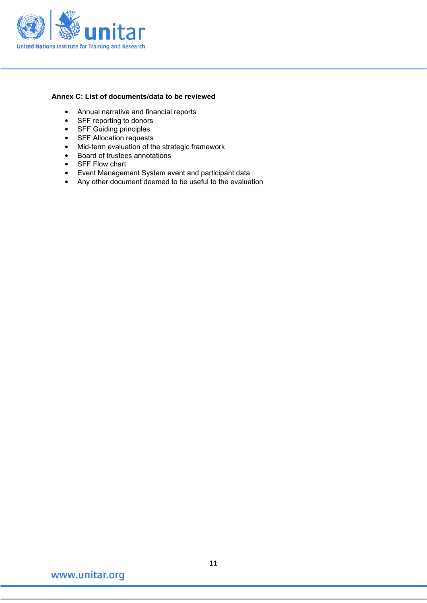

#### **Annex C: List of documents/data to be reviewed**

- Annual narrative and financial reports
- SFF reporting to donors
- SFF Guiding principles
- SFF Allocation requests
- Mid-term evaluation of the strategic framework<br>• Board of trustees annotations
- Board of trustees annotations
- SFF Flow chart
- Event Management System event and participant data
- Any other document deemed to be useful to the evaluation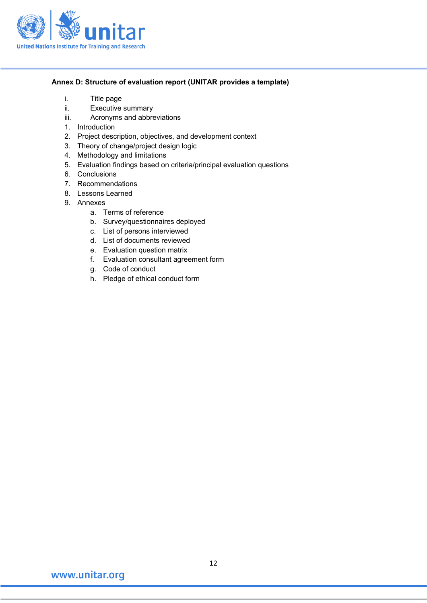

#### **Annex D: Structure of evaluation report (UNITAR provides a template)**

- i. Title page
- ii. Executive summary
- iii. Acronyms and abbreviations
- 1. Introduction
- 2. Project description, objectives, and development context
- 3. Theory of change/project design logic
- 4. Methodology and limitations
- 5. Evaluation findings based on criteria/principal evaluation questions
- 6. Conclusions
- 7. Recommendations
- 8. Lessons Learned
- 9. Annexes
	- a. Terms of reference
	- b. Survey/questionnaires deployed
	- c. List of persons interviewed
	- d. List of documents reviewed
	- e. Evaluation question matrix
	- f. Evaluation consultant agreement form
	- g. Code of conduct
	- h. Pledge of ethical conduct form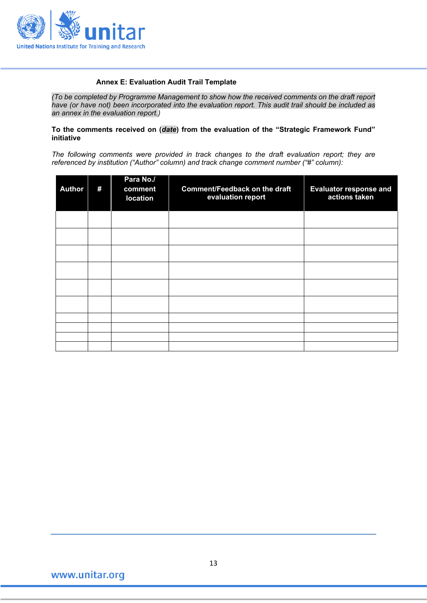

#### **Annex E: Evaluation Audit Trail Template**

*(To be completed by Programme Management to show how the received comments on the draft report have (or have not) been incorporated into the evaluation report. This audit trail should be included as an annex in the evaluation report.)* 

#### **To the comments received on (***date***) from the evaluation of the "Strategic Framework Fund" initiative**

*The following comments were provided in track changes to the draft evaluation report; they are referenced by institution ("Author" column) and track change comment number ("#" column):*

| <b>Author</b> | # | Para No./<br>comment<br>location | <b>Comment/Feedback on the draft</b><br>evaluation report | <b>Evaluator response and</b><br>actions taken |
|---------------|---|----------------------------------|-----------------------------------------------------------|------------------------------------------------|
|               |   |                                  |                                                           |                                                |
|               |   |                                  |                                                           |                                                |
|               |   |                                  |                                                           |                                                |
|               |   |                                  |                                                           |                                                |
|               |   |                                  |                                                           |                                                |
|               |   |                                  |                                                           |                                                |
|               |   |                                  |                                                           |                                                |
|               |   |                                  |                                                           |                                                |
|               |   |                                  |                                                           |                                                |
|               |   |                                  |                                                           |                                                |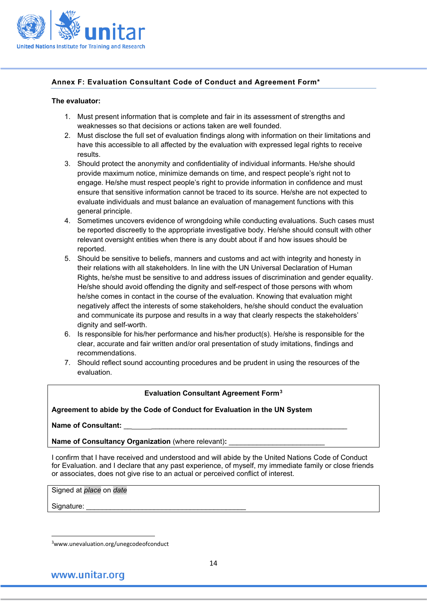

#### **Annex F: Evaluation Consultant Code of Conduct and Agreement Form\***

#### **The evaluator:**

- 1. Must present information that is complete and fair in its assessment of strengths and weaknesses so that decisions or actions taken are well founded.
- 2. Must disclose the full set of evaluation findings along with information on their limitations and have this accessible to all affected by the evaluation with expressed legal rights to receive results.
- 3. Should protect the anonymity and confidentiality of individual informants. He/she should provide maximum notice, minimize demands on time, and respect people's right not to engage. He/she must respect people's right to provide information in confidence and must ensure that sensitive information cannot be traced to its source. He/she are not expected to evaluate individuals and must balance an evaluation of management functions with this general principle.
- 4. Sometimes uncovers evidence of wrongdoing while conducting evaluations. Such cases must be reported discreetly to the appropriate investigative body. He/she should consult with other relevant oversight entities when there is any doubt about if and how issues should be reported.
- 5. Should be sensitive to beliefs, manners and customs and act with integrity and honesty in their relations with all stakeholders. In line with the UN Universal Declaration of Human Rights, he/she must be sensitive to and address issues of discrimination and gender equality. He/she should avoid offending the dignity and self-respect of those persons with whom he/she comes in contact in the course of the evaluation. Knowing that evaluation might negatively affect the interests of some stakeholders, he/she should conduct the evaluation and communicate its purpose and results in a way that clearly respects the stakeholders' dignity and self-worth.
- 6. Is responsible for his/her performance and his/her product(s). He/she is responsible for the clear, accurate and fair written and/or oral presentation of study imitations, findings and recommendations.
- 7. Should reflect sound accounting procedures and be prudent in using the resources of the evaluation.

#### **Evaluation Consultant Agreement Form[3](#page-13-0)**

#### **Agreement to abide by the Code of Conduct for Evaluation in the UN System**

Name of Consultant:

**Name of Consultancy Organization (where relevant):** 

I confirm that I have received and understood and will abide by the United Nations Code of Conduct for Evaluation. and I declare that any past experience, of myself, my immediate family or close friends or associates, does not give rise to an actual or perceived conflict of interest.

Signed at *place* on *date*

Signature:

<span id="page-13-0"></span><sup>3</sup>www.unevaluation.org/unegcodeofconduct